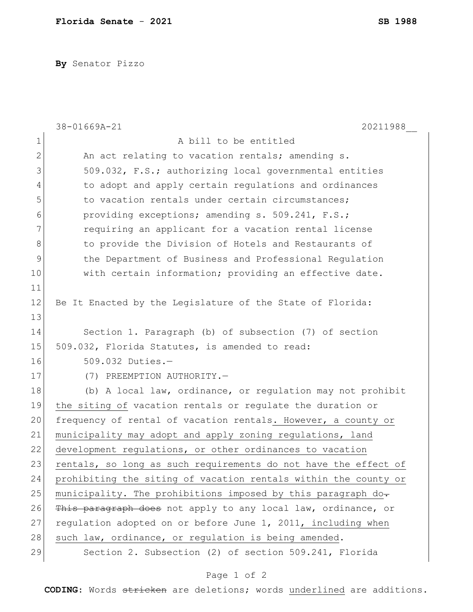**By** Senator Pizzo

|             | 38-01669A-21<br>20211988                                        |
|-------------|-----------------------------------------------------------------|
| 1           | A bill to be entitled                                           |
| 2           | An act relating to vacation rentals; amending s.                |
| 3           | 509.032, F.S.; authorizing local governmental entities          |
| 4           | to adopt and apply certain regulations and ordinances           |
| 5           | to vacation rentals under certain circumstances;                |
| 6           | providing exceptions; amending s. 509.241, F.S.;                |
| 7           | requiring an applicant for a vacation rental license            |
| 8           | to provide the Division of Hotels and Restaurants of            |
| $\mathsf 9$ | the Department of Business and Professional Regulation          |
| 10          | with certain information; providing an effective date.          |
| 11          |                                                                 |
| 12          | Be It Enacted by the Legislature of the State of Florida:       |
| 13          |                                                                 |
| 14          | Section 1. Paragraph (b) of subsection (7) of section           |
| 15          | 509.032, Florida Statutes, is amended to read:                  |
| 16          | $509.032$ Duties.-                                              |
| 17          | (7) PREEMPTION AUTHORITY.-                                      |
| 18          | (b) A local law, ordinance, or regulation may not prohibit      |
| 19          | the siting of vacation rentals or regulate the duration or      |
| 20          | frequency of rental of vacation rentals. However, a county or   |
| 21          | municipality may adopt and apply zoning regulations, land       |
| 22          | development regulations, or other ordinances to vacation        |
| 23          | rentals, so long as such requirements do not have the effect of |
| 24          | prohibiting the siting of vacation rentals within the county or |
| 25          | municipality. The prohibitions imposed by this paragraph do-    |
| 26          | This paragraph does not apply to any local law, ordinance, or   |
| 27          | regulation adopted on or before June 1, 2011, including when    |
| 28          | such law, ordinance, or regulation is being amended.            |
| 29          | Section 2. Subsection (2) of section 509.241, Florida           |

## Page 1 of 2

**CODING**: Words stricken are deletions; words underlined are additions.